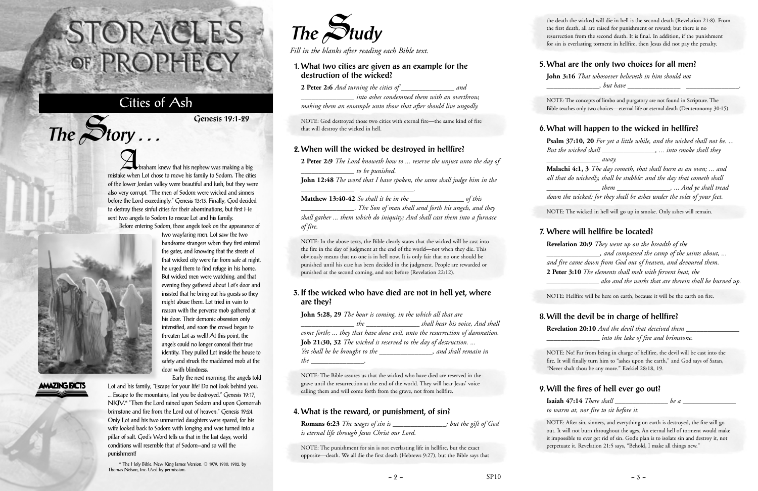Abraham knew that his nephew was making a big mistake when Lot chose to move his family to Sodom. The cities of the lower Jordan valley were beautiful and lush, but they were also very corrupt. "The men of Sodom were wicked and sinners before the Lord exceedingly." Genesis 13:13. Finally, God decided to destroy these sinful cities for their abominations, but first He sent two angels to Sodom to rescue Lot and his family.

Before entering Sodom, these angels took on the appearance of

two wayfaring men. Lot saw the two handsome strangers when they first entered the gates, and knowing that the streets of that wicked city were far from safe at night, he urged them to find refuge in his home. But wicked men were watching, and that evening they gathered about Lot's door and insisted that he bring out his guests so they might abuse them. Lot tried in vain to reason with the perverse mob gathered at his door. Their demonic obsession only intensified, and soon the crowd began to threaten Lot as well! At this point, the angels could no longer conceal their true identity. They pulled Lot inside the house to safety and struck the maddened mob at the



 $The$  $S$ **tory** ...

### **AMAZING FACTS**

door with blindness.

Early the next morning, the angels told Lot and his family, "Escape for your life! Do not look behind you. ... Escape to the mountains, lest you be destroyed." Genesis 19:17, NKJV.\* "Then the Lord rained upon Sodom and upon Gomorrah brimstone and fire from the Lord out of heaven." Genesis 19:24. Only Lot and his two unmarried daughters were spared, for his wife looked back to Sodom with longing and was turned into a pillar of salt. God's Word tells us that in the last days, world conditions will resemble that of Sodom—and so will the punishment!

**John 5:28, 29** *The hour is coming, in the which all that are \_\_\_\_\_\_\_\_\_\_\_\_\_\_\_ the \_\_\_\_\_\_\_\_\_\_\_\_\_\_\_ shall hear his voice, And shall come forth; ... they that have done evil, unto the resurrection of damnation.* **Job 21:30, 32** *The wicked is reserved to the day of destruction. ... Yet shall he be brought to the \_\_\_\_\_\_\_\_\_\_\_\_\_\_\_, and shall remain in the* ...

\* The Holy Bible, New King James Version, © 1979, 1980, 1982, by Thomas Nelson, Inc. Used by permission.

# STORACLES -OF PROPHECY

## Cities of Ash

**Genesis 19:1-29**



*Fill in the blanks after reading each Bible text.*

#### **1. What two cities are given as an example for the destruction of the wicked? 2 Peter 2:6** *And turning the cities of \_\_\_\_\_\_\_\_\_\_\_\_\_\_\_ and*

*\_\_\_\_\_\_\_\_\_\_\_\_\_\_\_ into ashes condemned them with an overthrow, making them an ensample unto those that after should live ungodly.*

NOTE: God destroyed those two cities with eternal fire—the same kind of fire that will destroy the wicked in hell.

**John 3:16** *That whosoever believeth in him should not but have* 

#### **2. When will the wicked be destroyed in hellfire?**

**2 Peter 2:9** *The Lord knoweth how to ... reserve the unjust unto the day of \_\_\_\_\_\_\_\_\_\_\_\_\_\_\_ to be punished.* **John 12:48** *The word that I have spoken, the same shall judge him in the*

*\_\_\_\_\_\_\_\_\_\_\_\_\_\_\_ \_\_\_\_\_\_\_\_\_\_\_\_\_\_\_.*

**Matthew 13:40-42** *So shall it be in the \_\_\_\_\_\_\_\_\_\_\_\_\_\_\_ of this*

*\_\_\_\_\_\_\_\_\_\_\_\_\_\_\_. The Son of man shall send forth his angels, and they shall gather ... them which do iniquity; And shall cast them into a furnace of fire.*

NOTE: In the above texts, the Bible clearly states that the wicked will be cast into the fire in the day of judgment at the end of the world—not when they die. This obviously means that no one is in hell now. It is only fair that no one should be punished until his case has been decided in the judgment. People are rewarded or punished at the second coming, and not before (Revelation 22:12).

> **Isaiah 47:14** *There shall* \_\_\_\_\_\_\_\_\_\_\_\_\_\_\_ be a *to warm at, nor fire to sit before it.*

#### **3. If the wicked who have died are not in hell yet, where are they?**

NOTE: The Bible assures us that the wicked who have died are reserved in the grave until the resurrection at the end of the world. They will hear Jesus' voice calling them and will come forth from the grave, not from hellfire.

#### **4. What is the reward, or punishment, of sin?**

| <b>Romans 6:23</b> The wages of sin is         | ; but the gift of God |
|------------------------------------------------|-----------------------|
| is eternal life through Jesus Christ our Lord. |                       |

NOTE: The punishment for sin is not everlasting life in hellfire, but the exact opposite—death. We all die the first death (Hebrews 9:27), but the Bible says that

the death the wicked will die in hell is the second death (Revelation 21:8). From the first death, all are raised for punishment or reward; but there is no resurrection from the second death. It is final. In addition, if the punishment for sin is everlasting torment in hellfire, then Jesus did not pay the penalty.

#### **5. What are the only two choices for all men?**

NOTE: The concepts of limbo and purgatory are not found in Scripture. The Bible teaches only two choices—eternal life or eternal death (Deuteronomy 30:15).

#### **6. What will happen to the wicked in hellfire?**

**Psalm 37:10, 20** *For yet a little while, and the wicked shall not be. ... But the wicked shall \_\_\_\_\_\_\_\_\_\_\_\_\_\_\_, ... into smoke shall they*

*\_\_\_\_\_\_\_\_\_\_\_\_\_\_\_ away.*

**Malachi 4:1, 3** *The day cometh, that shall burn as an oven; ... and all that do wickedly, shall be stubble: and the day that cometh shall \_\_\_\_\_\_\_\_\_\_\_\_\_\_\_ them \_\_\_\_\_\_\_\_\_\_\_\_\_\_\_. ... And ye shall tread down the wicked; for they shall be ashes under the soles of your feet.*

NOTE: The wicked in hell will go up in smoke. Only ashes will remain.

#### **7. Where will hellfire be located?**

**Revelation 20:9** *They went up on the breadth of the \_\_\_\_\_\_\_\_\_\_\_\_\_\_\_, and compassed the camp of the saints about, ... and fire came down from God out of heaven, and devoured them.* **2 Peter 3:10** *The elements shall melt with fervent heat, the \_\_\_\_\_\_\_\_\_\_\_\_\_\_\_ also and the works that are therein shall be burned up.*

NOTE: Hellfire will be here on earth, because it will be the earth on fire.

#### **8. Will the devil be in charge of hellfire?**

**Revelation 20:10** *And the devil that deceived them \_\_\_\_\_\_\_\_\_\_\_\_\_\_\_ \_\_\_\_\_\_\_\_\_\_\_\_\_\_\_ into the lake of fire and brimstone.*

NOTE: No! Far from being in charge of hellfire, the devil will be cast into the fire. It will finally turn him to "ashes upon the earth," and God says of Satan, "Never shalt thou be any more." Ezekiel 28:18, 19.

#### **9. Will the fires of hell ever go out?**

NOTE: After sin, sinners, and everything on earth is destroyed, the fire will go out. It will not burn throughout the ages. An eternal hell of torment would make it impossible to ever get rid of sin. God's plan is to isolate sin and destroy it, not perpetuate it. Revelation 21:5 says, "Behold, I make all things new."